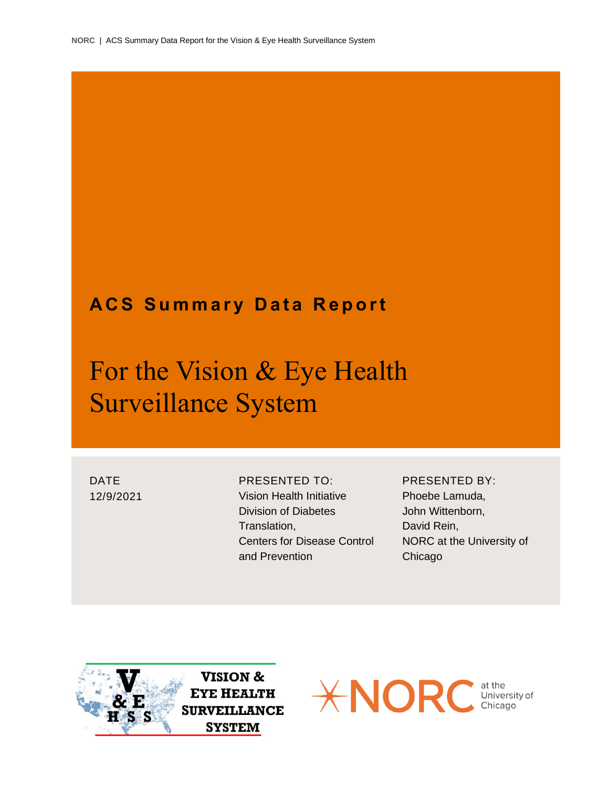### **ACS Summary Data Report**

## For the Vision & Eye Health Surveillance System

DATE 12/9/2021 PRESENTED TO: Vision Health Initiative Division of Diabetes Translation, Centers for Disease Control and Prevention

PRESENTED BY: Phoebe Lamuda, John Wittenborn, David Rein, NORC at the University of Chicago



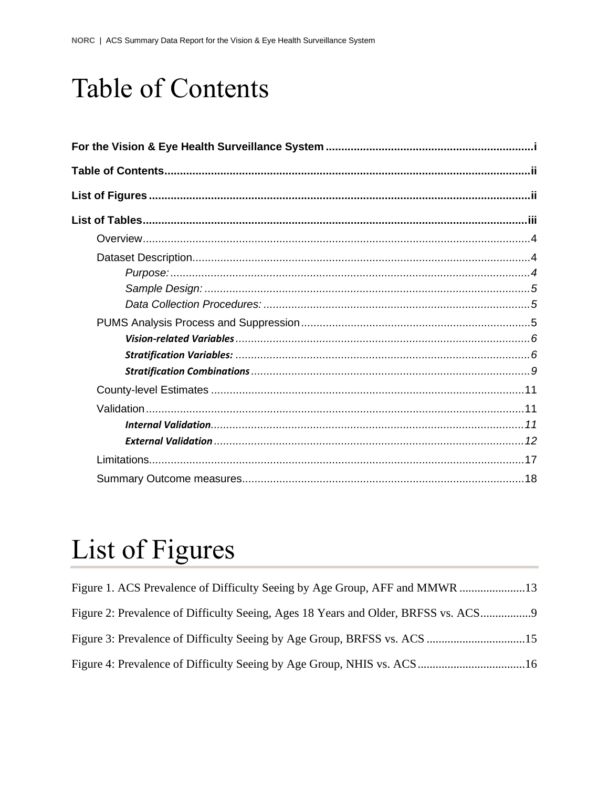# Table of Contents

# List of Figures

| Figure 2: Prevalence of Difficulty Seeing, Ages 18 Years and Older, BRFSS vs. ACS |  |
|-----------------------------------------------------------------------------------|--|
|                                                                                   |  |
|                                                                                   |  |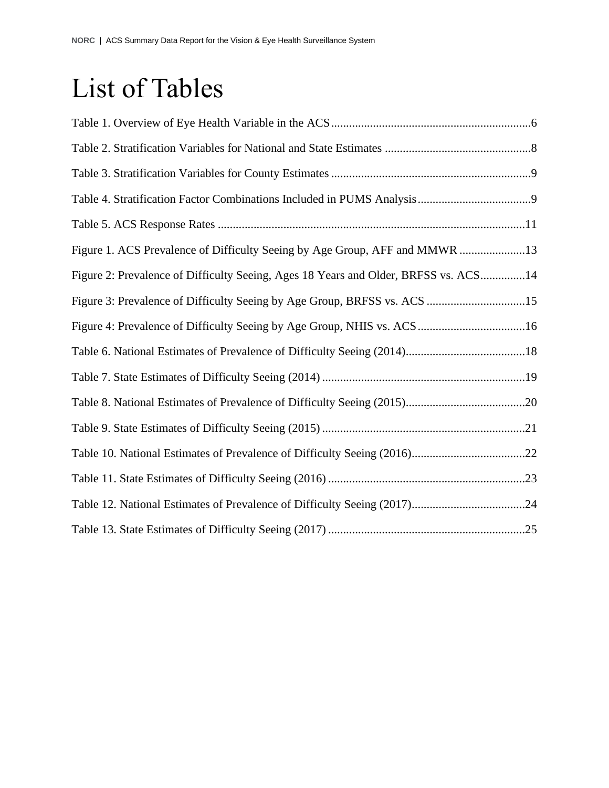# List of Tables

| Figure 1. ACS Prevalence of Difficulty Seeing by Age Group, AFF and MMWR 13         |
|-------------------------------------------------------------------------------------|
| Figure 2: Prevalence of Difficulty Seeing, Ages 18 Years and Older, BRFSS vs. ACS14 |
| Figure 3: Prevalence of Difficulty Seeing by Age Group, BRFSS vs. ACS 15            |
|                                                                                     |
|                                                                                     |
|                                                                                     |
|                                                                                     |
|                                                                                     |
|                                                                                     |
|                                                                                     |
| Table 12. National Estimates of Prevalence of Difficulty Seeing (2017)24            |
|                                                                                     |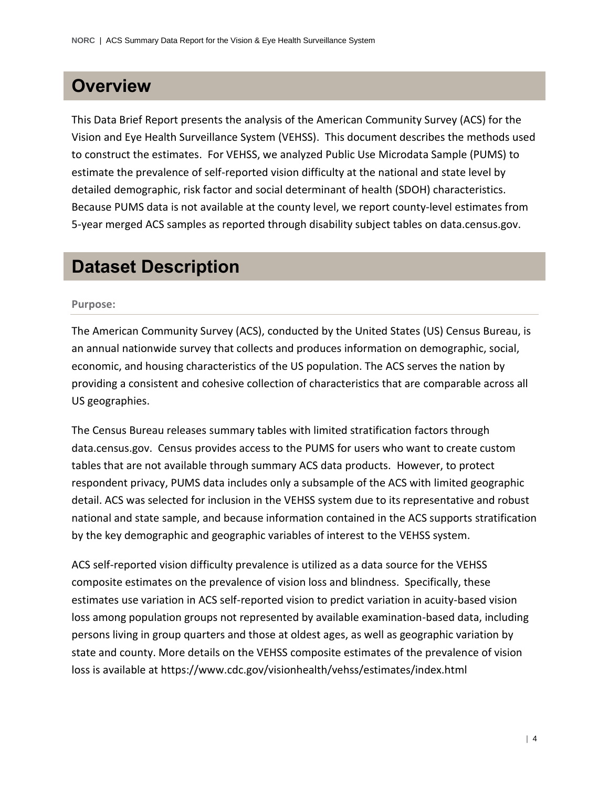### **Overview**

This Data Brief Report presents the analysis of the American Community Survey (ACS) for the Vision and Eye Health Surveillance System (VEHSS). This document describes the methods used to construct the estimates. For VEHSS, we analyzed Public Use Microdata Sample (PUMS) to estimate the prevalence of self-reported vision difficulty at the national and state level by detailed demographic, risk factor and social determinant of health (SDOH) characteristics. Because PUMS data is not available at the county level, we report county-level estimates from 5-year merged ACS samples as reported through disability subject tables on data.census.gov.

### **Dataset Description**

#### **Purpose:**

The American Community Survey (ACS), conducted by the United States (US) Census Bureau, is an annual nationwide survey that collects and produces information on demographic, social, economic, and housing characteristics of the US population. The ACS serves the nation by providing a consistent and cohesive collection of characteristics that are comparable across all US geographies.

The Census Bureau releases summary tables with limited stratification factors through data.census.gov. Census provides access to the PUMS for users who want to create custom tables that are not available through summary ACS data products. However, to protect respondent privacy, PUMS data includes only a subsample of the ACS with limited geographic detail. ACS was selected for inclusion in the VEHSS system due to its representative and robust national and state sample, and because information contained in the ACS supports stratification by the key demographic and geographic variables of interest to the VEHSS system.

ACS self-reported vision difficulty prevalence is utilized as a data source for the VEHSS composite estimates on the prevalence of vision loss and blindness. Specifically, these estimates use variation in ACS self-reported vision to predict variation in acuity-based vision loss among population groups not represented by available examination-based data, including persons living in group quarters and those at oldest ages, as well as geographic variation by state and county. More details on the VEHSS composite estimates of the prevalence of vision loss is available at https://www.cdc.gov/visionhealth/vehss/estimates/index.html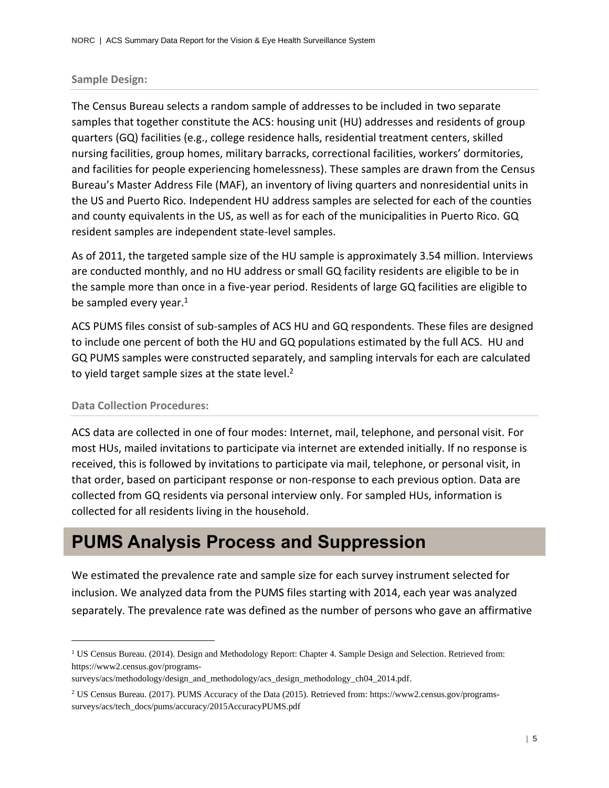#### **Sample Design:**

The Census Bureau selects a random sample of addresses to be included in two separate samples that together constitute the ACS: housing unit (HU) addresses and residents of group quarters (GQ) facilities (e.g., college residence halls, residential treatment centers, skilled nursing facilities, group homes, military barracks, correctional facilities, workers' dormitories, and facilities for people experiencing homelessness). These samples are drawn from the Census Bureau's Master Address File (MAF), an inventory of living quarters and nonresidential units in the US and Puerto Rico. Independent HU address samples are selected for each of the counties and county equivalents in the US, as well as for each of the municipalities in Puerto Rico. GQ resident samples are independent state-level samples.

As of 2011, the targeted sample size of the HU sample is approximately 3.54 million. Interviews are conducted monthly, and no HU address or small GQ facility residents are eligible to be in the sample more than once in a five-year period. Residents of large GQ facilities are eligible to be sampled every year.<sup>1</sup>

ACS PUMS files consist of sub-samples of ACS HU and GQ respondents. These files are designed to include one percent of both the HU and GQ populations estimated by the full ACS. HU and GQ PUMS samples were constructed separately, and sampling intervals for each are calculated to yield target sample sizes at the state level.<sup>2</sup>

#### **Data Collection Procedures:**

ACS data are collected in one of four modes: Internet, mail, telephone, and personal visit. For most HUs, mailed invitations to participate via internet are extended initially. If no response is received, this is followed by invitations to participate via mail, telephone, or personal visit, in that order, based on participant response or non-response to each previous option. Data are collected from GQ residents via personal interview only. For sampled HUs, information is collected for all residents living in the household.

### **PUMS Analysis Process and Suppression**

We estimated the prevalence rate and sample size for each survey instrument selected for inclusion. We analyzed data from the PUMS files starting with 2014, each year was analyzed separately. The prevalence rate was defined as the number of persons who gave an affirmative

<sup>&</sup>lt;sup>1</sup> US Census Bureau. (2014). Design and Methodology Report: Chapter 4. Sample Design and Selection. Retrieved from: https://www2.census.gov/programs-

surveys/acs/methodology/design\_and\_methodology/acs\_design\_methodology\_ch04\_2014.pdf.

<sup>2</sup> US Census Bureau. (2017). PUMS Accuracy of the Data (2015). Retrieved from: https://www2.census.gov/programssurveys/acs/tech\_docs/pums/accuracy/2015AccuracyPUMS.pdf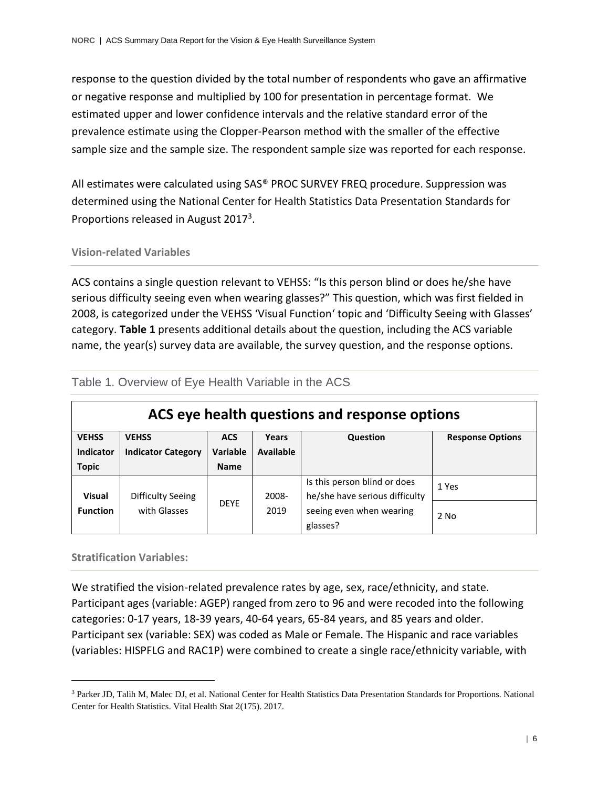response to the question divided by the total number of respondents who gave an affirmative or negative response and multiplied by 100 for presentation in percentage format. We estimated upper and lower confidence intervals and the relative standard error of the prevalence estimate using the Clopper-Pearson method with the smaller of the effective sample size and the sample size. The respondent sample size was reported for each response.

All estimates were calculated using SAS® PROC SURVEY FREQ procedure. Suppression was determined using the National Center for Health Statistics Data Presentation Standards for Proportions released in August 2017<sup>3</sup>.

#### **Vision-related Variables**

ACS contains a single question relevant to VEHSS: "Is this person blind or does he/she have serious difficulty seeing even when wearing glasses?" This question, which was first fielded in 2008, is categorized under the VEHSS 'Visual Function' topic and 'Difficulty Seeing with Glasses' category. **Table 1** presents additional details about the question, including the ACS variable name, the year(s) survey data are available, the survey question, and the response options.

| ACS eye health questions and response options |                           |                 |           |                                                                |                         |
|-----------------------------------------------|---------------------------|-----------------|-----------|----------------------------------------------------------------|-------------------------|
| <b>VEHSS</b>                                  | <b>VEHSS</b>              | <b>ACS</b>      | Years     | Question                                                       | <b>Response Options</b> |
| <b>Indicator</b>                              | <b>Indicator Category</b> | <b>Variable</b> | Available |                                                                |                         |
| <b>Topic</b>                                  |                           | <b>Name</b>     |           |                                                                |                         |
| <b>Visual</b>                                 | Difficulty Seeing         |                 | 2008-     | Is this person blind or does<br>he/she have serious difficulty | 1 Yes                   |
| <b>Function</b>                               | with Glasses              | <b>DEYE</b>     | 2019      | seeing even when wearing<br>glasses?                           | $2$ No                  |

### Table 1. Overview of Eye Health Variable in the ACS

**Stratification Variables:**

We stratified the vision-related prevalence rates by age, sex, race/ethnicity, and state. Participant ages (variable: AGEP) ranged from zero to 96 and were recoded into the following categories: 0-17 years, 18-39 years, 40-64 years, 65-84 years, and 85 years and older. Participant sex (variable: SEX) was coded as Male or Female. The Hispanic and race variables (variables: HISPFLG and RAC1P) were combined to create a single race/ethnicity variable, with

<sup>&</sup>lt;sup>3</sup> Parker JD, Talih M, Malec DJ, et al. National Center for Health Statistics Data Presentation Standards for Proportions. National Center for Health Statistics. Vital Health Stat 2(175). 2017.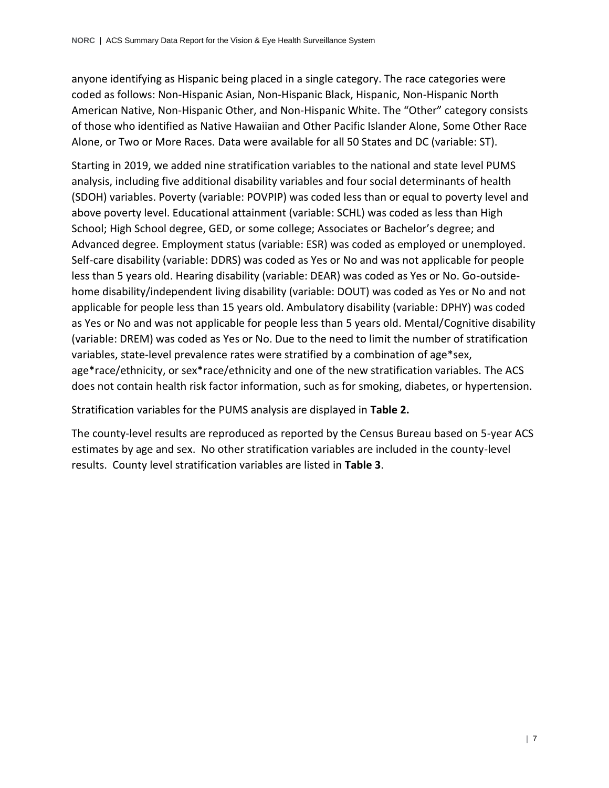anyone identifying as Hispanic being placed in a single category. The race categories were coded as follows: Non-Hispanic Asian, Non-Hispanic Black, Hispanic, Non-Hispanic North American Native, Non-Hispanic Other, and Non-Hispanic White. The "Other" category consists of those who identified as Native Hawaiian and Other Pacific Islander Alone, Some Other Race Alone, or Two or More Races. Data were available for all 50 States and DC (variable: ST).

Starting in 2019, we added nine stratification variables to the national and state level PUMS analysis, including five additional disability variables and four social determinants of health (SDOH) variables. Poverty (variable: POVPIP) was coded less than or equal to poverty level and above poverty level. Educational attainment (variable: SCHL) was coded as less than High School; High School degree, GED, or some college; Associates or Bachelor's degree; and Advanced degree. Employment status (variable: ESR) was coded as employed or unemployed. Self-care disability (variable: DDRS) was coded as Yes or No and was not applicable for people less than 5 years old. Hearing disability (variable: DEAR) was coded as Yes or No. Go-outsidehome disability/independent living disability (variable: DOUT) was coded as Yes or No and not applicable for people less than 15 years old. Ambulatory disability (variable: DPHY) was coded as Yes or No and was not applicable for people less than 5 years old. Mental/Cognitive disability (variable: DREM) was coded as Yes or No. Due to the need to limit the number of stratification variables, state-level prevalence rates were stratified by a combination of age\*sex, age\*race/ethnicity, or sex\*race/ethnicity and one of the new stratification variables. The ACS does not contain health risk factor information, such as for smoking, diabetes, or hypertension.

Stratification variables for the PUMS analysis are displayed in **Table 2.**

The county-level results are reproduced as reported by the Census Bureau based on 5-year ACS estimates by age and sex. No other stratification variables are included in the county-level results. County level stratification variables are listed in **Table 3**.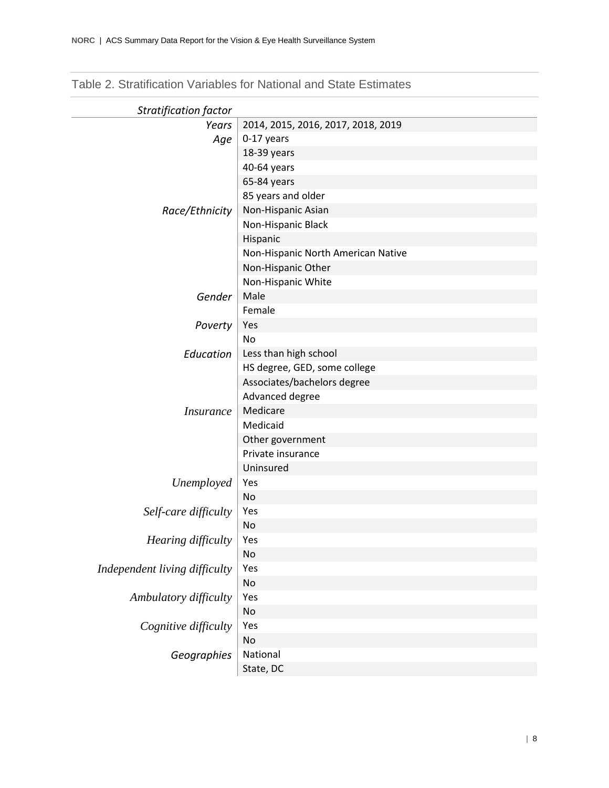| <b>Stratification factor</b>  |                                    |
|-------------------------------|------------------------------------|
| Years                         | 2014, 2015, 2016, 2017, 2018, 2019 |
| Age                           | 0-17 years                         |
|                               | 18-39 years                        |
|                               | 40-64 years                        |
|                               | 65-84 years                        |
|                               | 85 years and older                 |
| Race/Ethnicity                | Non-Hispanic Asian                 |
|                               | Non-Hispanic Black                 |
|                               | Hispanic                           |
|                               | Non-Hispanic North American Native |
|                               | Non-Hispanic Other                 |
|                               | Non-Hispanic White                 |
| Gender                        | Male                               |
|                               | Female                             |
| Poverty                       | Yes                                |
|                               | <b>No</b>                          |
| Education                     | Less than high school              |
|                               | HS degree, GED, some college       |
|                               | Associates/bachelors degree        |
|                               | Advanced degree                    |
| <i>Insurance</i>              | Medicare                           |
|                               | Medicaid                           |
|                               | Other government                   |
|                               | Private insurance                  |
|                               | Uninsured                          |
| Unemployed                    | Yes                                |
|                               | No                                 |
| Self-care difficulty          | Yes                                |
|                               | No                                 |
| Hearing difficulty            | Yes                                |
|                               | No                                 |
| Independent living difficulty | Yes                                |
|                               | No                                 |
| Ambulatory difficulty         | Yes                                |
|                               | No                                 |
| Cognitive difficulty          | Yes                                |
|                               | No                                 |
| Geographies                   | National                           |
|                               | State, DC                          |

Table 2. Stratification Variables for National and State Estimates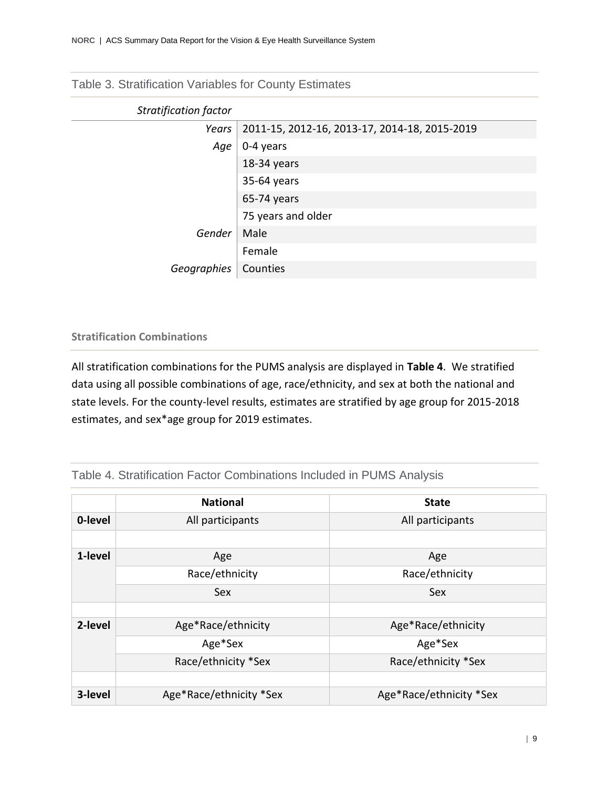Table 3. Stratification Variables for County Estimates

| <b>Stratification factor</b> |                                               |
|------------------------------|-----------------------------------------------|
| Years                        | 2011-15, 2012-16, 2013-17, 2014-18, 2015-2019 |
| Age                          | 0-4 years                                     |
|                              | 18-34 years                                   |
|                              | 35-64 years                                   |
|                              | 65-74 years                                   |
|                              | 75 years and older                            |
| Gender                       | Male                                          |
|                              | Female                                        |
| Geographies                  | Counties                                      |

### **Stratification Combinations**

All stratification combinations for the PUMS analysis are displayed in **Table 4**. We stratified data using all possible combinations of age, race/ethnicity, and sex at both the national and state levels. For the county-level results, estimates are stratified by age group for 2015-2018 estimates, and sex\*age group for 2019 estimates.

### Table 4. Stratification Factor Combinations Included in PUMS Analysis

|         | <b>National</b>         | <b>State</b>            |
|---------|-------------------------|-------------------------|
| 0-level | All participants        | All participants        |
|         |                         |                         |
| 1-level | Age                     | Age                     |
|         | Race/ethnicity          | Race/ethnicity          |
|         | Sex                     | Sex                     |
|         |                         |                         |
| 2-level | Age*Race/ethnicity      | Age*Race/ethnicity      |
|         | Age*Sex                 | Age*Sex                 |
|         | Race/ethnicity *Sex     | Race/ethnicity *Sex     |
|         |                         |                         |
| 3-level | Age*Race/ethnicity *Sex | Age*Race/ethnicity *Sex |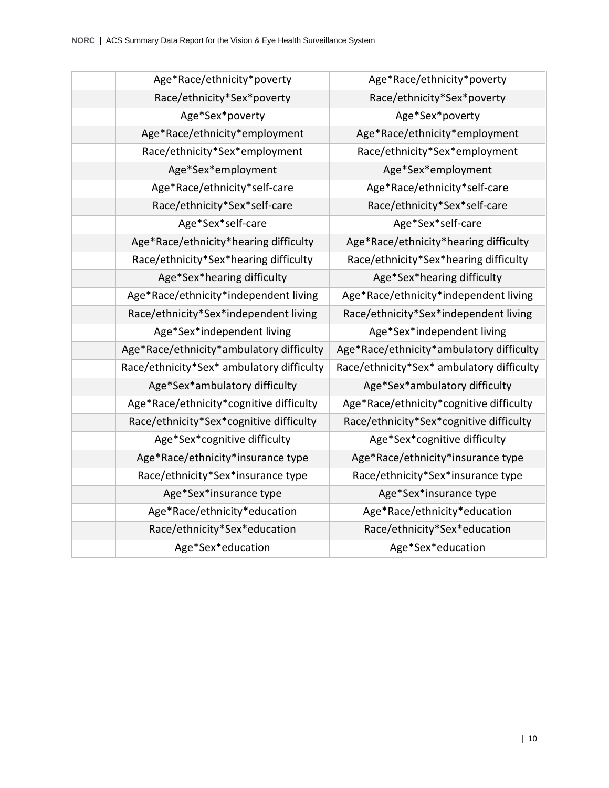| Age*Race/ethnicity*poverty                | Age*Race/ethnicity*poverty                |
|-------------------------------------------|-------------------------------------------|
| Race/ethnicity*Sex*poverty                | Race/ethnicity*Sex*poverty                |
| Age*Sex*poverty                           | Age*Sex*poverty                           |
| Age*Race/ethnicity*employment             | Age*Race/ethnicity*employment             |
| Race/ethnicity*Sex*employment             | Race/ethnicity*Sex*employment             |
| Age*Sex*employment                        | Age*Sex*employment                        |
| Age*Race/ethnicity*self-care              | Age*Race/ethnicity*self-care              |
| Race/ethnicity*Sex*self-care              | Race/ethnicity*Sex*self-care              |
| Age*Sex*self-care                         | Age*Sex*self-care                         |
| Age*Race/ethnicity*hearing difficulty     | Age*Race/ethnicity*hearing difficulty     |
| Race/ethnicity*Sex*hearing difficulty     | Race/ethnicity*Sex*hearing difficulty     |
| Age*Sex*hearing difficulty                | Age*Sex*hearing difficulty                |
| Age*Race/ethnicity*independent living     | Age*Race/ethnicity*independent living     |
| Race/ethnicity*Sex*independent living     | Race/ethnicity*Sex*independent living     |
| Age*Sex*independent living                | Age*Sex*independent living                |
| Age*Race/ethnicity*ambulatory difficulty  | Age*Race/ethnicity*ambulatory difficulty  |
| Race/ethnicity*Sex* ambulatory difficulty | Race/ethnicity*Sex* ambulatory difficulty |
| Age*Sex*ambulatory difficulty             | Age*Sex*ambulatory difficulty             |
| Age*Race/ethnicity*cognitive difficulty   | Age*Race/ethnicity*cognitive difficulty   |
| Race/ethnicity*Sex*cognitive difficulty   | Race/ethnicity*Sex*cognitive difficulty   |
| Age*Sex*cognitive difficulty              | Age*Sex*cognitive difficulty              |
| Age*Race/ethnicity*insurance type         | Age*Race/ethnicity*insurance type         |
| Race/ethnicity*Sex*insurance type         | Race/ethnicity*Sex*insurance type         |
| Age*Sex*insurance type                    | Age*Sex*insurance type                    |
| Age*Race/ethnicity*education              | Age*Race/ethnicity*education              |
| Race/ethnicity*Sex*education              | Race/ethnicity*Sex*education              |
| Age*Sex*education                         | Age*Sex*education                         |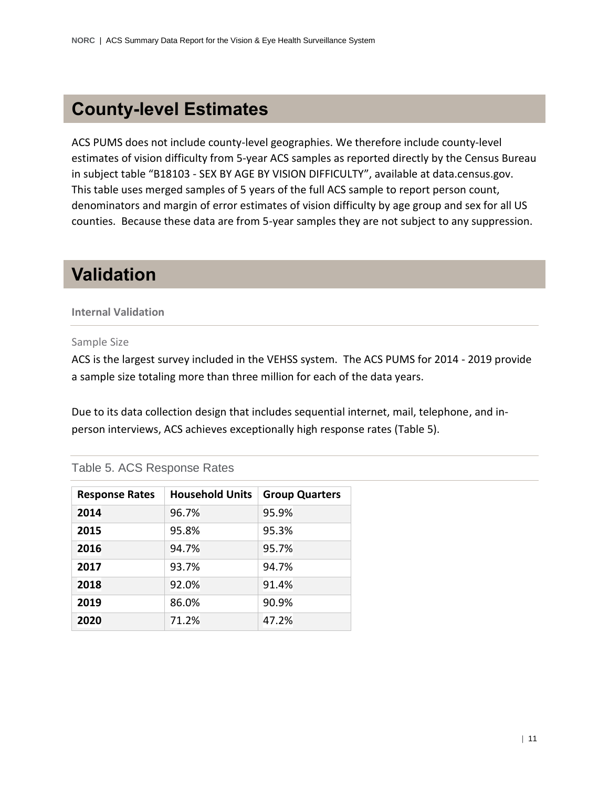### **County-level Estimates**

ACS PUMS does not include county-level geographies. We therefore include county-level estimates of vision difficulty from 5-year ACS samples as reported directly by the Census Bureau in subject table "B18103 - SEX BY AGE BY VISION DIFFICULTY", available at data.census.gov. This table uses merged samples of 5 years of the full ACS sample to report person count, denominators and margin of error estimates of vision difficulty by age group and sex for all US counties. Because these data are from 5-year samples they are not subject to any suppression.

### **Validation**

#### **Internal Validation**

Sample Size

ACS is the largest survey included in the VEHSS system. The ACS PUMS for 2014 - 2019 provide a sample size totaling more than three million for each of the data years.

Due to its data collection design that includes sequential internet, mail, telephone, and inperson interviews, ACS achieves exceptionally high response rates (Table 5).

| Table 5. ACS Response Rates |  |  |
|-----------------------------|--|--|
|-----------------------------|--|--|

| <b>Response Rates</b> | <b>Household Units</b> | <b>Group Quarters</b> |
|-----------------------|------------------------|-----------------------|
| 2014                  | 96.7%                  | 95.9%                 |
| 2015                  | 95.8%                  | 95.3%                 |
| 2016                  | 94.7%                  | 95.7%                 |
| 2017                  | 93.7%                  | 94.7%                 |
| 2018                  | 92.0%                  | 91.4%                 |
| 2019                  | 86.0%                  | 90.9%                 |
| 2020                  | 71.2%                  | 47.2%                 |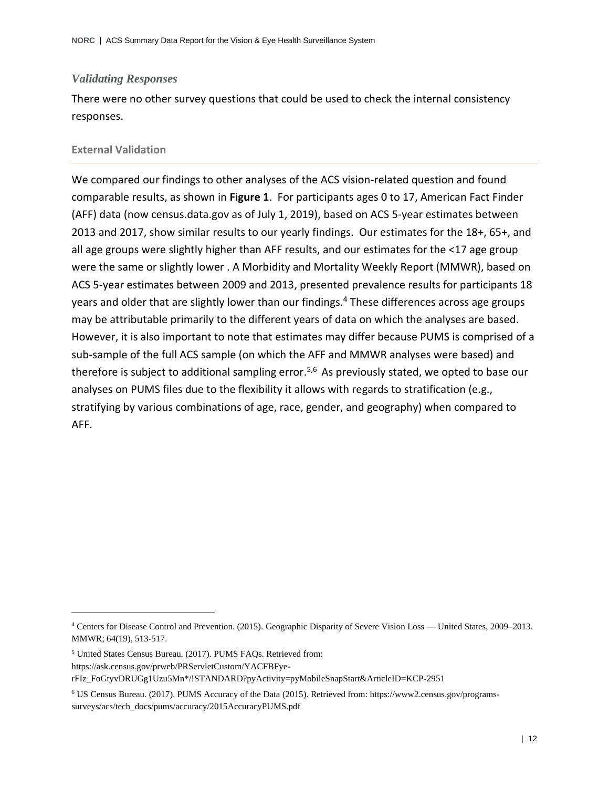#### *Validating Responses*

There were no other survey questions that could be used to check the internal consistency responses.

#### **External Validation**

We compared our findings to other analyses of the ACS vision-related question and found comparable results, as shown in **Figure 1**. For participants ages 0 to 17, American Fact Finder (AFF) data (now census.data.gov as of July 1, 2019), based on ACS 5-year estimates between 2013 and 2017, show similar results to our yearly findings. Our estimates for the 18+, 65+, and all age groups were slightly higher than AFF results, and our estimates for the <17 age group were the same or slightly lower . A Morbidity and Mortality Weekly Report (MMWR), based on ACS 5-year estimates between 2009 and 2013, presented prevalence results for participants 18 years and older that are slightly lower than our findings.<sup>4</sup> These differences across age groups may be attributable primarily to the different years of data on which the analyses are based. However, it is also important to note that estimates may differ because PUMS is comprised of a sub-sample of the full ACS sample (on which the AFF and MMWR analyses were based) and therefore is subject to additional sampling error.<sup>5,6</sup> As previously stated, we opted to base our analyses on PUMS files due to the flexibility it allows with regards to stratification (e.g., stratifying by various combinations of age, race, gender, and geography) when compared to AFF.

<sup>4</sup> Centers for Disease Control and Prevention. (2015). Geographic Disparity of Severe Vision Loss — United States, 2009–2013. MMWR; 64(19), 513-517.

<sup>5</sup> United States Census Bureau. (2017). PUMS FAQs. Retrieved from:

https://ask.census.gov/prweb/PRServletCustom/YACFBFye-

rFIz\_FoGtyvDRUGg1Uzu5Mn\*/!STANDARD?pyActivity=pyMobileSnapStart&ArticleID=KCP-2951

<sup>6</sup> US Census Bureau. (2017). PUMS Accuracy of the Data (2015). Retrieved from: https://www2.census.gov/programssurveys/acs/tech\_docs/pums/accuracy/2015AccuracyPUMS.pdf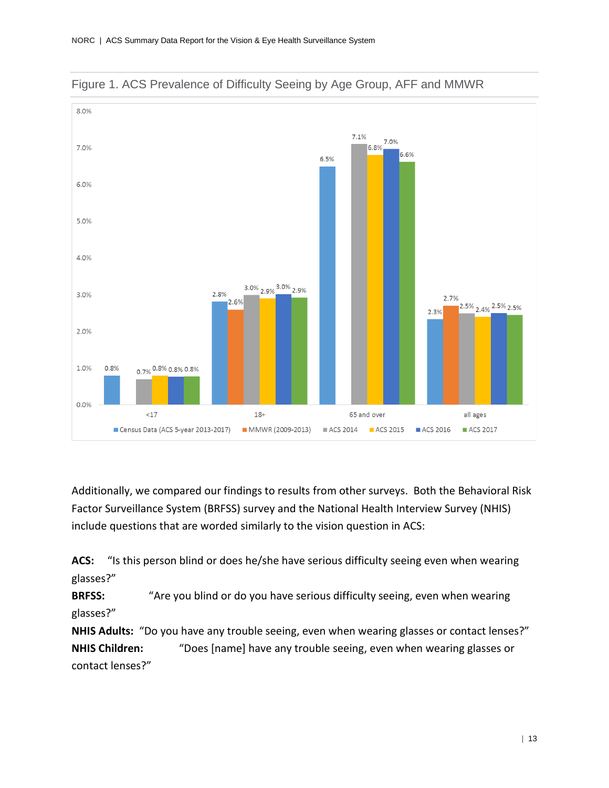



Additionally, we compared our findings to results from other surveys. Both the Behavioral Risk Factor Surveillance System (BRFSS) survey and the National Health Interview Survey (NHIS) include questions that are worded similarly to the vision question in ACS:

**ACS:** "Is this person blind or does he/she have serious difficulty seeing even when wearing glasses?"

**BRFSS:** "Are you blind or do you have serious difficulty seeing, even when wearing glasses?"

**NHIS Adults:** "Do you have any trouble seeing, even when wearing glasses or contact lenses?" **NHIS Children:** "Does [name] have any trouble seeing, even when wearing glasses or contact lenses?"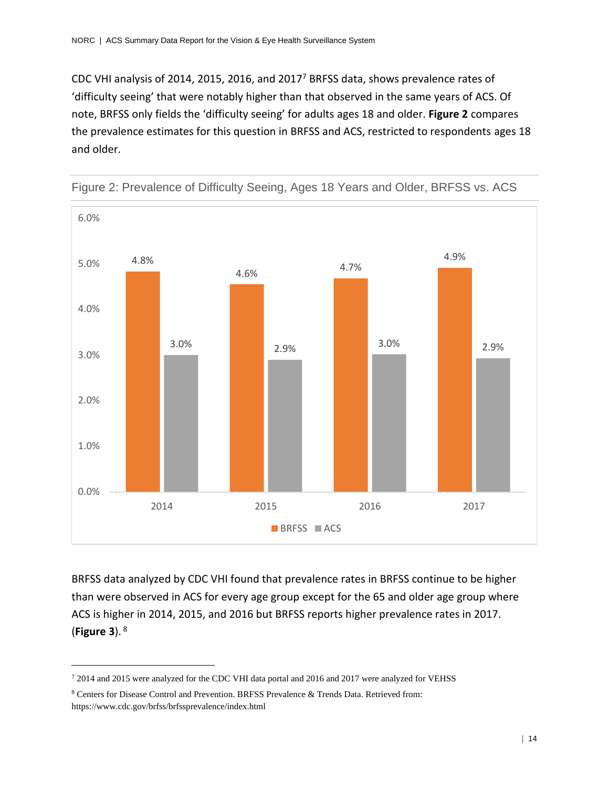CDC VHI analysis of 2014, 2015, 2016, and 2017<sup>7</sup> BRFSS data, shows prevalence rates of 'difficulty seeing' that were notably higher than that observed in the same years of ACS. Of note, BRFSS only fields the 'difficulty seeing' for adults ages 18 and older. **Figure 2** compares the prevalence estimates for this question in BRFSS and ACS, restricted to respondents ages 18 and older.



Figure 2: Prevalence of Difficulty Seeing, Ages 18 Years and Older, BRFSS vs. ACS

BRFSS data analyzed by CDC VHI found that prevalence rates in BRFSS continue to be higher than were observed in ACS for every age group except for the 65 and older age group where ACS is higher in 2014, 2015, and 2016 but BRFSS reports higher prevalence rates in 2017. (**Figure 3**). <sup>8</sup>

<sup>7</sup> 2014 and 2015 were analyzed for the CDC VHI data portal and 2016 and 2017 were analyzed for VEHSS

<sup>8</sup> Centers for Disease Control and Prevention. BRFSS Prevalence & Trends Data. Retrieved from: https://www.cdc.gov/brfss/brfssprevalence/index.html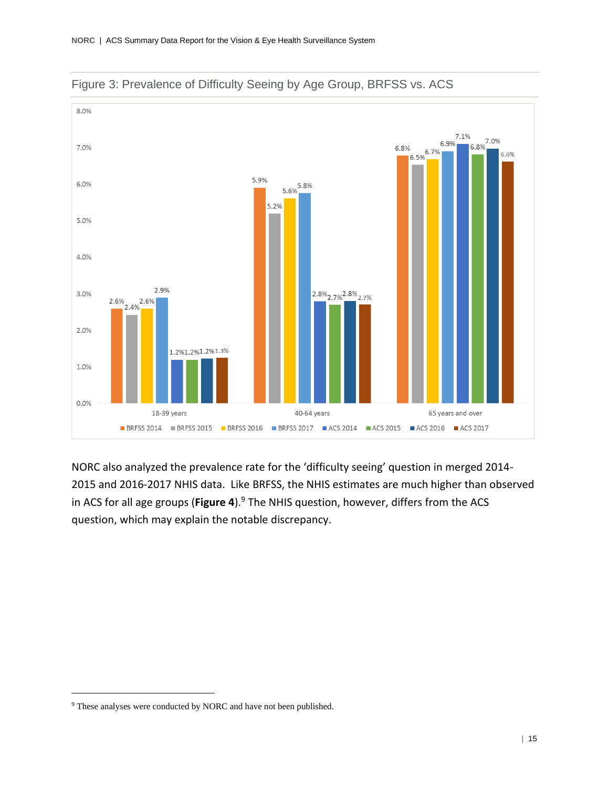



NORC also analyzed the prevalence rate for the 'difficulty seeing' question in merged 2014- 2015 and 2016-2017 NHIS data. Like BRFSS, the NHIS estimates are much higher than observed in ACS for all age groups (**Figure 4**).<sup>9</sup> The NHIS question, however, differs from the ACS question, which may explain the notable discrepancy.

<sup>&</sup>lt;sup>9</sup> These analyses were conducted by NORC and have not been published.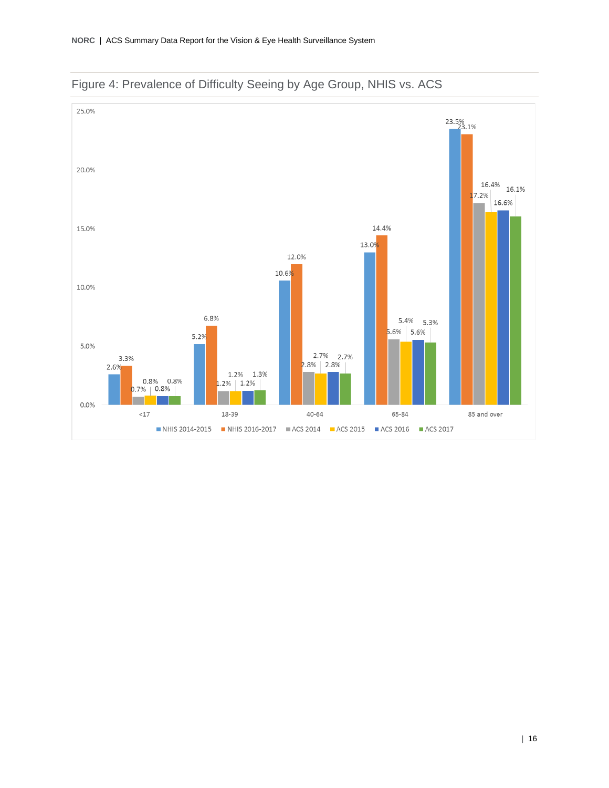

Figure 4: Prevalence of Difficulty Seeing by Age Group, NHIS vs. ACS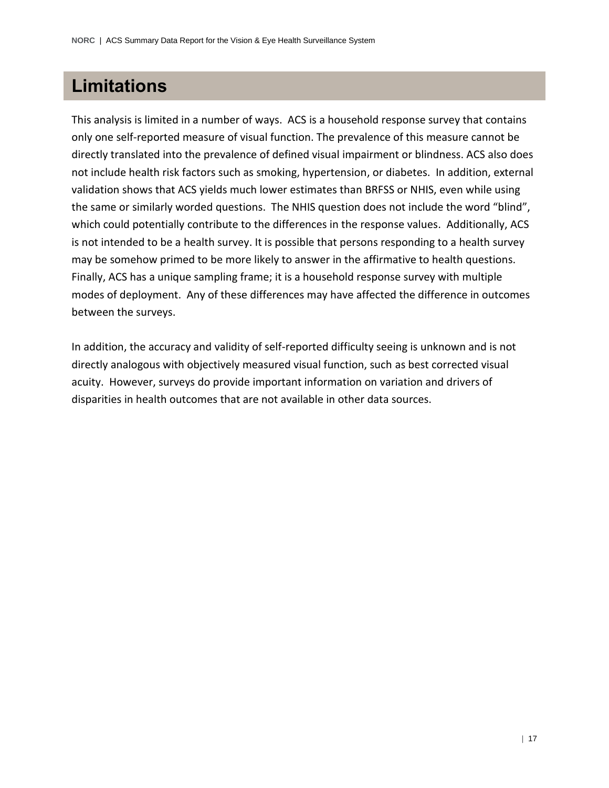### **Limitations**

This analysis is limited in a number of ways. ACS is a household response survey that contains only one self-reported measure of visual function. The prevalence of this measure cannot be directly translated into the prevalence of defined visual impairment or blindness. ACS also does not include health risk factors such as smoking, hypertension, or diabetes. In addition, external validation shows that ACS yields much lower estimates than BRFSS or NHIS, even while using the same or similarly worded questions. The NHIS question does not include the word "blind", which could potentially contribute to the differences in the response values. Additionally, ACS is not intended to be a health survey. It is possible that persons responding to a health survey may be somehow primed to be more likely to answer in the affirmative to health questions. Finally, ACS has a unique sampling frame; it is a household response survey with multiple modes of deployment. Any of these differences may have affected the difference in outcomes between the surveys.

In addition, the accuracy and validity of self-reported difficulty seeing is unknown and is not directly analogous with objectively measured visual function, such as best corrected visual acuity. However, surveys do provide important information on variation and drivers of disparities in health outcomes that are not available in other data sources.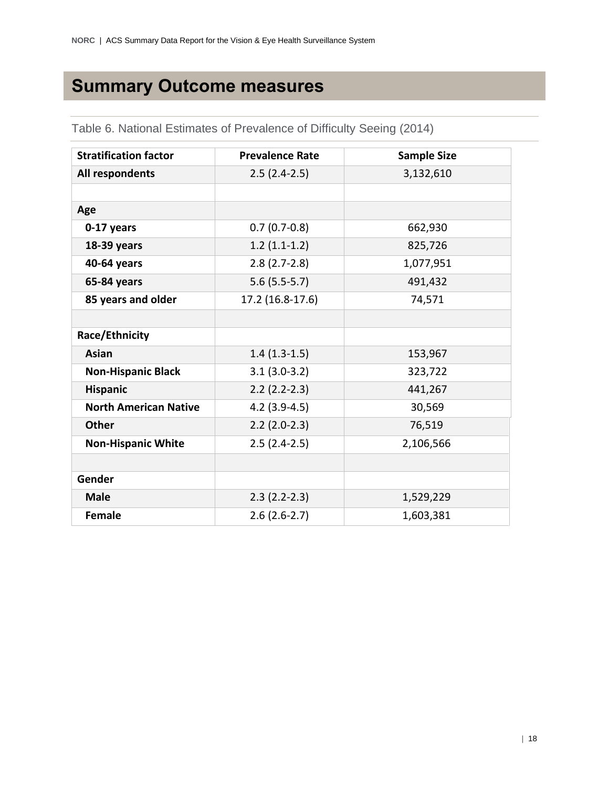### **Summary Outcome measures**

| <b>Stratification factor</b> | <b>Prevalence Rate</b> | <b>Sample Size</b> |
|------------------------------|------------------------|--------------------|
| All respondents              | $2.5(2.4-2.5)$         | 3,132,610          |
|                              |                        |                    |
| Age                          |                        |                    |
| 0-17 years                   | $0.7(0.7-0.8)$         | 662,930            |
| 18-39 years                  | $1.2(1.1-1.2)$         | 825,726            |
| 40-64 years                  | $2.8(2.7-2.8)$         | 1,077,951          |
| 65-84 years                  | $5.6(5.5-5.7)$         | 491,432            |
| 85 years and older           | 17.2 (16.8-17.6)       | 74,571             |
|                              |                        |                    |
| Race/Ethnicity               |                        |                    |
| Asian                        | $1.4(1.3-1.5)$         | 153,967            |
| <b>Non-Hispanic Black</b>    | $3.1(3.0-3.2)$         | 323,722            |
| <b>Hispanic</b>              | $2.2 (2.2 - 2.3)$      | 441,267            |
| <b>North American Native</b> | $4.2$ (3.9-4.5)        | 30,569             |
| <b>Other</b>                 | $2.2$ (2.0-2.3)        | 76,519             |
| <b>Non-Hispanic White</b>    | $2.5(2.4-2.5)$         | 2,106,566          |
|                              |                        |                    |
| Gender                       |                        |                    |
| <b>Male</b>                  | $2.3(2.2-2.3)$         | 1,529,229          |
| <b>Female</b>                | $2.6(2.6-2.7)$         | 1,603,381          |

Table 6. National Estimates of Prevalence of Difficulty Seeing (2014)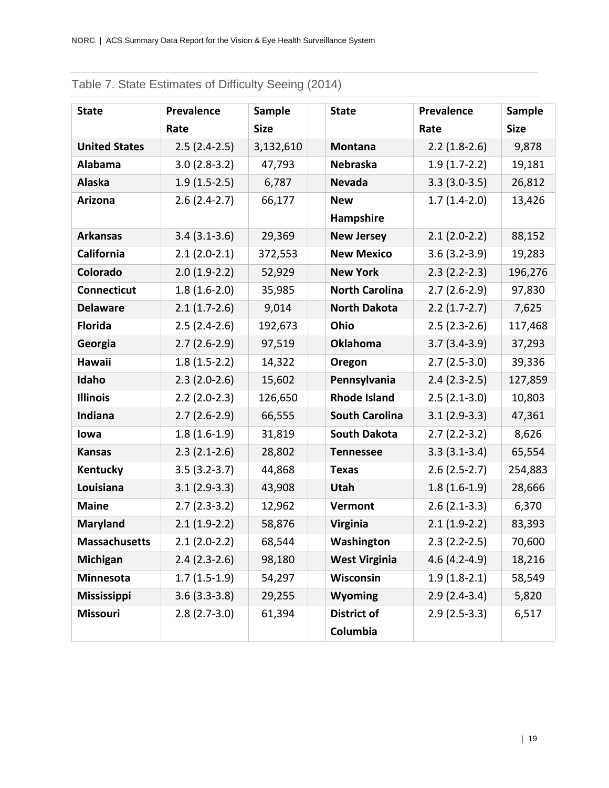| <b>State</b>         | <b>Prevalence</b> | Sample      | <b>State</b>          | <b>Prevalence</b> | <b>Sample</b> |
|----------------------|-------------------|-------------|-----------------------|-------------------|---------------|
|                      | Rate              | <b>Size</b> |                       | Rate              | <b>Size</b>   |
| <b>United States</b> | $2.5(2.4-2.5)$    | 3,132,610   | Montana               | $2.2(1.8-2.6)$    | 9,878         |
| Alabama              | $3.0(2.8-3.2)$    | 47,793      | <b>Nebraska</b>       | $1.9(1.7-2.2)$    | 19,181        |
| <b>Alaska</b>        | $1.9(1.5-2.5)$    | 6,787       | <b>Nevada</b>         | $3.3(3.0-3.5)$    | 26,812        |
| Arizona              | $2.6(2.4-2.7)$    | 66,177      | <b>New</b>            | $1.7(1.4-2.0)$    | 13,426        |
|                      |                   |             | Hampshire             |                   |               |
| <b>Arkansas</b>      | $3.4(3.1-3.6)$    | 29,369      | <b>New Jersey</b>     | $2.1(2.0-2.2)$    | 88,152        |
| California           | $2.1(2.0-2.1)$    | 372,553     | <b>New Mexico</b>     | $3.6(3.2-3.9)$    | 19,283        |
| Colorado             | $2.0(1.9-2.2)$    | 52,929      | <b>New York</b>       | $2.3(2.2-2.3)$    | 196,276       |
| <b>Connecticut</b>   | $1.8(1.6-2.0)$    | 35,985      | <b>North Carolina</b> | $2.7(2.6-2.9)$    | 97,830        |
| <b>Delaware</b>      | $2.1(1.7-2.6)$    | 9,014       | <b>North Dakota</b>   | $2.2(1.7-2.7)$    | 7,625         |
| <b>Florida</b>       | $2.5(2.4-2.6)$    | 192,673     | Ohio                  | $2.5(2.3-2.6)$    | 117,468       |
| Georgia              | $2.7(2.6-2.9)$    | 97,519      | <b>Oklahoma</b>       | $3.7(3.4-3.9)$    | 37,293        |
| Hawaii               | $1.8(1.5-2.2)$    | 14,322      | Oregon                | $2.7(2.5-3.0)$    | 39,336        |
| Idaho                | $2.3(2.0-2.6)$    | 15,602      | Pennsylvania          | $2.4(2.3-2.5)$    | 127,859       |
| <b>Illinois</b>      | $2.2$ (2.0-2.3)   | 126,650     | <b>Rhode Island</b>   | $2.5(2.1-3.0)$    | 10,803        |
| Indiana              | $2.7(2.6-2.9)$    | 66,555      | <b>South Carolina</b> | $3.1(2.9-3.3)$    | 47,361        |
| lowa                 | $1.8(1.6-1.9)$    | 31,819      | <b>South Dakota</b>   | $2.7(2.2-3.2)$    | 8,626         |
| <b>Kansas</b>        | $2.3(2.1-2.6)$    | 28,802      | <b>Tennessee</b>      | $3.3(3.1-3.4)$    | 65,554        |
| Kentucky             | $3.5(3.2-3.7)$    | 44,868      | <b>Texas</b>          | $2.6(2.5-2.7)$    | 254,883       |
| Louisiana            | $3.1(2.9-3.3)$    | 43,908      | Utah                  | $1.8(1.6-1.9)$    | 28,666        |
| <b>Maine</b>         | $2.7(2.3-3.2)$    | 12,962      | Vermont               | $2.6(2.1-3.3)$    | 6,370         |
| <b>Maryland</b>      | $2.1(1.9-2.2)$    | 58,876      | <b>Virginia</b>       | $2.1(1.9-2.2)$    | 83,393        |
| <b>Massachusetts</b> | $2.1(2.0-2.2)$    | 68,544      | Washington            | $2.3(2.2-2.5)$    | 70,600        |
| <b>Michigan</b>      | $2.4(2.3-2.6)$    | 98,180      | <b>West Virginia</b>  | $4.6(4.2 - 4.9)$  | 18,216        |
| Minnesota            | $1.7(1.5-1.9)$    | 54,297      | Wisconsin             | $1.9(1.8-2.1)$    | 58,549        |
| <b>Mississippi</b>   | $3.6(3.3-3.8)$    | 29,255      | Wyoming               | $2.9(2.4-3.4)$    | 5,820         |
| <b>Missouri</b>      | $2.8(2.7-3.0)$    | 61,394      | <b>District of</b>    | $2.9(2.5-3.3)$    | 6,517         |
|                      |                   |             | Columbia              |                   |               |

### Table 7. State Estimates of Difficulty Seeing (2014)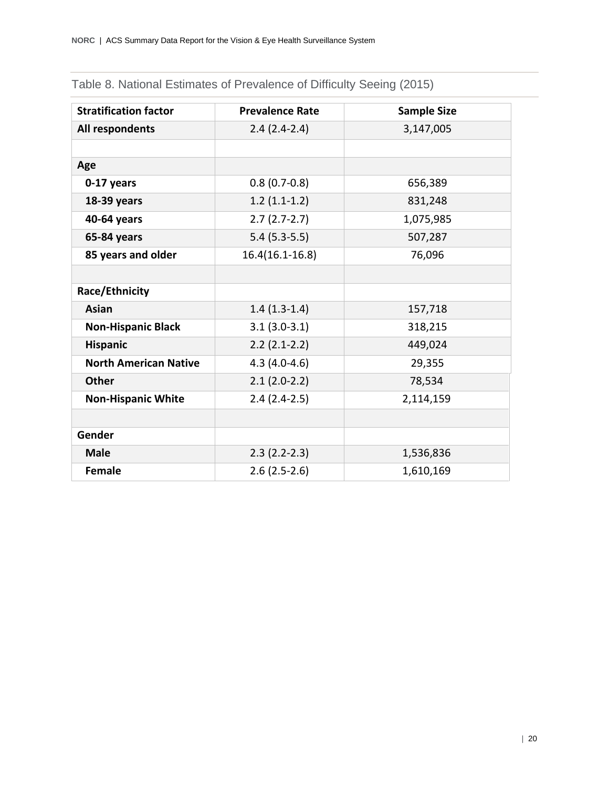| <b>Stratification factor</b> | <b>Prevalence Rate</b> | <b>Sample Size</b> |
|------------------------------|------------------------|--------------------|
| All respondents              | $2.4(2.4-2.4)$         | 3,147,005          |
|                              |                        |                    |
| Age                          |                        |                    |
| 0-17 years                   | $0.8(0.7-0.8)$         | 656,389            |
| 18-39 years                  | $1.2(1.1-1.2)$         | 831,248            |
| 40-64 years                  | $2.7(2.7-2.7)$         | 1,075,985          |
| 65-84 years                  | $5.4(5.3-5.5)$         | 507,287            |
| 85 years and older           | $16.4(16.1 - 16.8)$    | 76,096             |
|                              |                        |                    |
| Race/Ethnicity               |                        |                    |
| <b>Asian</b>                 | $1.4(1.3-1.4)$         | 157,718            |
| <b>Non-Hispanic Black</b>    | $3.1(3.0-3.1)$         | 318,215            |
| <b>Hispanic</b>              | $2.2(2.1-2.2)$         | 449,024            |
| <b>North American Native</b> | $4.3(4.0-4.6)$         | 29,355             |
| <b>Other</b>                 | $2.1(2.0-2.2)$         | 78,534             |
| <b>Non-Hispanic White</b>    | $2.4(2.4-2.5)$         | 2,114,159          |
|                              |                        |                    |
| Gender                       |                        |                    |
| <b>Male</b>                  | $2.3(2.2-2.3)$         | 1,536,836          |
| <b>Female</b>                | $2.6(2.5-2.6)$         | 1,610,169          |

### Table 8. National Estimates of Prevalence of Difficulty Seeing (2015)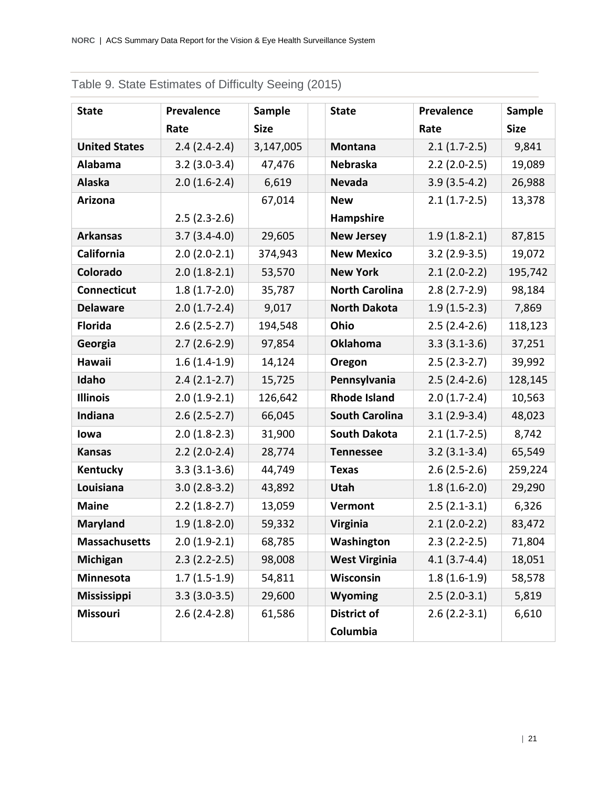| <b>State</b>         | <b>Prevalence</b> | Sample      | <b>State</b>          | <b>Prevalence</b> | Sample      |
|----------------------|-------------------|-------------|-----------------------|-------------------|-------------|
|                      | Rate              | <b>Size</b> |                       | Rate              | <b>Size</b> |
| <b>United States</b> | $2.4(2.4-2.4)$    | 3,147,005   | <b>Montana</b>        | $2.1(1.7-2.5)$    | 9,841       |
| Alabama              | $3.2(3.0-3.4)$    | 47,476      | <b>Nebraska</b>       | $2.2$ (2.0-2.5)   | 19,089      |
| <b>Alaska</b>        | $2.0(1.6-2.4)$    | 6,619       | <b>Nevada</b>         | $3.9(3.5-4.2)$    | 26,988      |
| <b>Arizona</b>       |                   | 67,014      | <b>New</b>            | $2.1(1.7-2.5)$    | 13,378      |
|                      | $2.5(2.3-2.6)$    |             | Hampshire             |                   |             |
| <b>Arkansas</b>      | $3.7(3.4-4.0)$    | 29,605      | <b>New Jersey</b>     | $1.9(1.8-2.1)$    | 87,815      |
| California           | $2.0(2.0-2.1)$    | 374,943     | <b>New Mexico</b>     | $3.2(2.9-3.5)$    | 19,072      |
| Colorado             | $2.0(1.8-2.1)$    | 53,570      | <b>New York</b>       | $2.1(2.0-2.2)$    | 195,742     |
| <b>Connecticut</b>   | $1.8(1.7-2.0)$    | 35,787      | <b>North Carolina</b> | $2.8(2.7-2.9)$    | 98,184      |
| <b>Delaware</b>      | $2.0(1.7-2.4)$    | 9,017       | <b>North Dakota</b>   | $1.9(1.5-2.3)$    | 7,869       |
| <b>Florida</b>       | $2.6(2.5-2.7)$    | 194,548     | Ohio                  | $2.5(2.4-2.6)$    | 118,123     |
| Georgia              | $2.7(2.6-2.9)$    | 97,854      | <b>Oklahoma</b>       | $3.3(3.1-3.6)$    | 37,251      |
| Hawaii               | $1.6(1.4-1.9)$    | 14,124      | Oregon                | $2.5(2.3-2.7)$    | 39,992      |
| Idaho                | $2.4(2.1-2.7)$    | 15,725      | Pennsylvania          | $2.5(2.4-2.6)$    | 128,145     |
| <b>Illinois</b>      | $2.0(1.9-2.1)$    | 126,642     | <b>Rhode Island</b>   | $2.0(1.7-2.4)$    | 10,563      |
| Indiana              | $2.6(2.5-2.7)$    | 66,045      | <b>South Carolina</b> | $3.1(2.9-3.4)$    | 48,023      |
| lowa                 | $2.0(1.8-2.3)$    | 31,900      | <b>South Dakota</b>   | $2.1(1.7-2.5)$    | 8,742       |
| <b>Kansas</b>        | $2.2(2.0-2.4)$    | 28,774      | <b>Tennessee</b>      | $3.2(3.1-3.4)$    | 65,549      |
| Kentucky             | $3.3(3.1-3.6)$    | 44,749      | <b>Texas</b>          | $2.6(2.5-2.6)$    | 259,224     |
| Louisiana            | $3.0(2.8-3.2)$    | 43,892      | <b>Utah</b>           | $1.8(1.6-2.0)$    | 29,290      |
| <b>Maine</b>         | $2.2(1.8-2.7)$    | 13,059      | Vermont               | $2.5(2.1-3.1)$    | 6,326       |
| <b>Maryland</b>      | $1.9(1.8-2.0)$    | 59,332      | <b>Virginia</b>       | $2.1(2.0-2.2)$    | 83,472      |
| <b>Massachusetts</b> | $2.0(1.9-2.1)$    | 68,785      | Washington            | $2.3(2.2-2.5)$    | 71,804      |
| <b>Michigan</b>      | $2.3(2.2-2.5)$    | 98,008      | <b>West Virginia</b>  | $4.1(3.7-4.4)$    | 18,051      |
| Minnesota            | $1.7(1.5-1.9)$    | 54,811      | Wisconsin             | $1.8(1.6-1.9)$    | 58,578      |
| <b>Mississippi</b>   | $3.3(3.0-3.5)$    | 29,600      | <b>Wyoming</b>        | $2.5(2.0-3.1)$    | 5,819       |
| Missouri             | $2.6(2.4-2.8)$    | 61,586      | <b>District of</b>    | $2.6(2.2-3.1)$    | 6,610       |
|                      |                   |             | Columbia              |                   |             |

### Table 9. State Estimates of Difficulty Seeing (2015)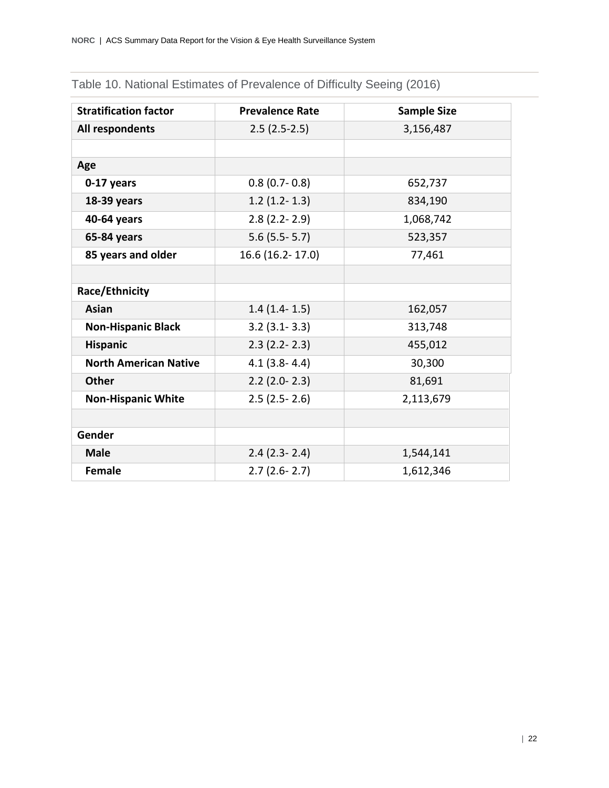| <b>Stratification factor</b> | <b>Prevalence Rate</b> | <b>Sample Size</b> |
|------------------------------|------------------------|--------------------|
| All respondents              | $2.5(2.5-2.5)$         | 3,156,487          |
|                              |                        |                    |
| Age                          |                        |                    |
| 0-17 years                   | $0.8$ (0.7- $0.8$ )    | 652,737            |
| 18-39 years                  | $1.2(1.2-1.3)$         | 834,190            |
| 40-64 years                  | $2.8$ (2.2-2.9)        | 1,068,742          |
| 65-84 years                  | $5.6$ (5.5 - 5.7)      | 523,357            |
| 85 years and older           | 16.6 (16.2-17.0)       | 77,461             |
|                              |                        |                    |
| Race/Ethnicity               |                        |                    |
| <b>Asian</b>                 | $1.4(1.4-1.5)$         | 162,057            |
| <b>Non-Hispanic Black</b>    | $3.2$ (3.1-3.3)        | 313,748            |
| <b>Hispanic</b>              | $2.3$ (2.2-2.3)        | 455,012            |
| <b>North American Native</b> | $4.1(3.8 - 4.4)$       | 30,300             |
| <b>Other</b>                 | $2.2$ (2.0-2.3)        | 81,691             |
| <b>Non-Hispanic White</b>    | $2.5(2.5-2.6)$         | 2,113,679          |
|                              |                        |                    |
| Gender                       |                        |                    |
| <b>Male</b>                  | $2.4$ (2.3-2.4)        | 1,544,141          |
| <b>Female</b>                | $2.7(2.6-2.7)$         | 1,612,346          |

### Table 10. National Estimates of Prevalence of Difficulty Seeing (2016)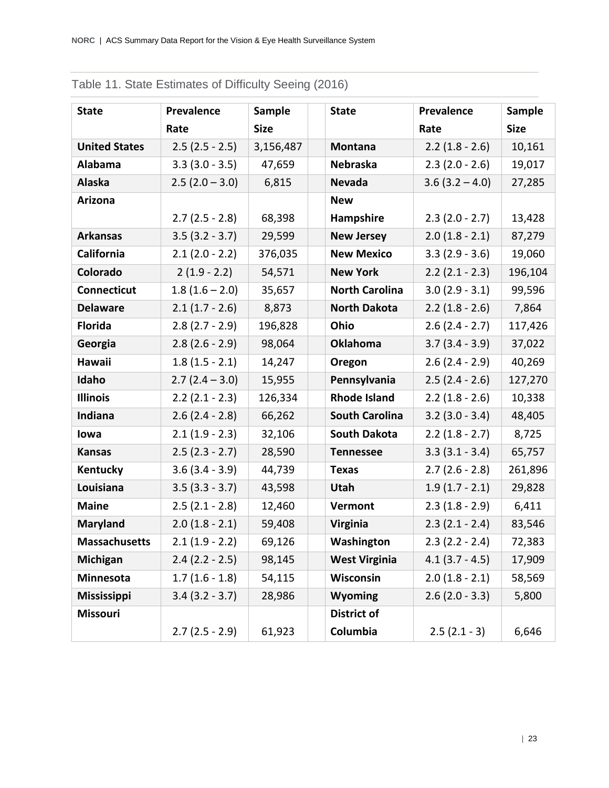| <b>State</b>         | <b>Prevalence</b> | Sample      | <b>State</b>          | Prevalence        | <b>Sample</b> |
|----------------------|-------------------|-------------|-----------------------|-------------------|---------------|
|                      | Rate              | <b>Size</b> |                       | Rate              | <b>Size</b>   |
| <b>United States</b> | $2.5(2.5 - 2.5)$  | 3,156,487   | <b>Montana</b>        | $2.2(1.8 - 2.6)$  | 10,161        |
| Alabama              | $3.3(3.0 - 3.5)$  | 47,659      | Nebraska              | $2.3(2.0 - 2.6)$  | 19,017        |
| <b>Alaska</b>        | $2.5(2.0 - 3.0)$  | 6,815       | <b>Nevada</b>         | $3.6(3.2 - 4.0)$  | 27,285        |
| Arizona              |                   |             | <b>New</b>            |                   |               |
|                      | $2.7(2.5 - 2.8)$  | 68,398      | Hampshire             | $2.3(2.0 - 2.7)$  | 13,428        |
| <b>Arkansas</b>      | $3.5(3.2 - 3.7)$  | 29,599      | <b>New Jersey</b>     | $2.0(1.8 - 2.1)$  | 87,279        |
| California           | $2.1(2.0 - 2.2)$  | 376,035     | <b>New Mexico</b>     | $3.3(2.9 - 3.6)$  | 19,060        |
| Colorado             | $2(1.9 - 2.2)$    | 54,571      | <b>New York</b>       | $2.2$ (2.1 - 2.3) | 196,104       |
| <b>Connecticut</b>   | $1.8(1.6 - 2.0)$  | 35,657      | <b>North Carolina</b> | $3.0(2.9 - 3.1)$  | 99,596        |
| <b>Delaware</b>      | $2.1(1.7 - 2.6)$  | 8,873       | <b>North Dakota</b>   | $2.2(1.8 - 2.6)$  | 7,864         |
| <b>Florida</b>       | $2.8(2.7 - 2.9)$  | 196,828     | Ohio                  | $2.6(2.4 - 2.7)$  | 117,426       |
| Georgia              | $2.8(2.6 - 2.9)$  | 98,064      | <b>Oklahoma</b>       | $3.7(3.4 - 3.9)$  | 37,022        |
| Hawaii               | $1.8(1.5 - 2.1)$  | 14,247      | Oregon                | $2.6(2.4 - 2.9)$  | 40,269        |
| Idaho                | $2.7(2.4 - 3.0)$  | 15,955      | Pennsylvania          | $2.5(2.4 - 2.6)$  | 127,270       |
| <b>Illinois</b>      | $2.2$ (2.1 - 2.3) | 126,334     | <b>Rhode Island</b>   | $2.2(1.8 - 2.6)$  | 10,338        |
| Indiana              | $2.6$ (2.4 - 2.8) | 66,262      | <b>South Carolina</b> | $3.2$ (3.0 - 3.4) | 48,405        |
| lowa                 | $2.1(1.9 - 2.3)$  | 32,106      | <b>South Dakota</b>   | $2.2(1.8 - 2.7)$  | 8,725         |
| <b>Kansas</b>        | $2.5(2.3 - 2.7)$  | 28,590      | <b>Tennessee</b>      | $3.3(3.1 - 3.4)$  | 65,757        |
| Kentucky             | $3.6(3.4 - 3.9)$  | 44,739      | <b>Texas</b>          | $2.7(2.6 - 2.8)$  | 261,896       |
| Louisiana            | $3.5(3.3 - 3.7)$  | 43,598      | Utah                  | $1.9(1.7 - 2.1)$  | 29,828        |
| <b>Maine</b>         | $2.5(2.1 - 2.8)$  | 12,460      | Vermont               | $2.3(1.8 - 2.9)$  | 6,411         |
| <b>Maryland</b>      | $2.0(1.8 - 2.1)$  | 59,408      | <b>Virginia</b>       | $2.3(2.1 - 2.4)$  | 83,546        |
| <b>Massachusetts</b> | $2.1(1.9 - 2.2)$  | 69,126      | Washington            | $2.3(2.2 - 2.4)$  | 72,383        |
| Michigan             | $2.4$ (2.2 - 2.5) | 98,145      | <b>West Virginia</b>  | $4.1$ (3.7 - 4.5) | 17,909        |
| <b>Minnesota</b>     | $1.7(1.6 - 1.8)$  | 54,115      | Wisconsin             | $2.0(1.8 - 2.1)$  | 58,569        |
| <b>Mississippi</b>   | $3.4(3.2 - 3.7)$  | 28,986      | Wyoming               | $2.6$ (2.0 - 3.3) | 5,800         |
| <b>Missouri</b>      |                   |             | <b>District of</b>    |                   |               |
|                      | $2.7(2.5 - 2.9)$  | 61,923      | Columbia              | $2.5(2.1 - 3)$    | 6,646         |

### Table 11. State Estimates of Difficulty Seeing (2016)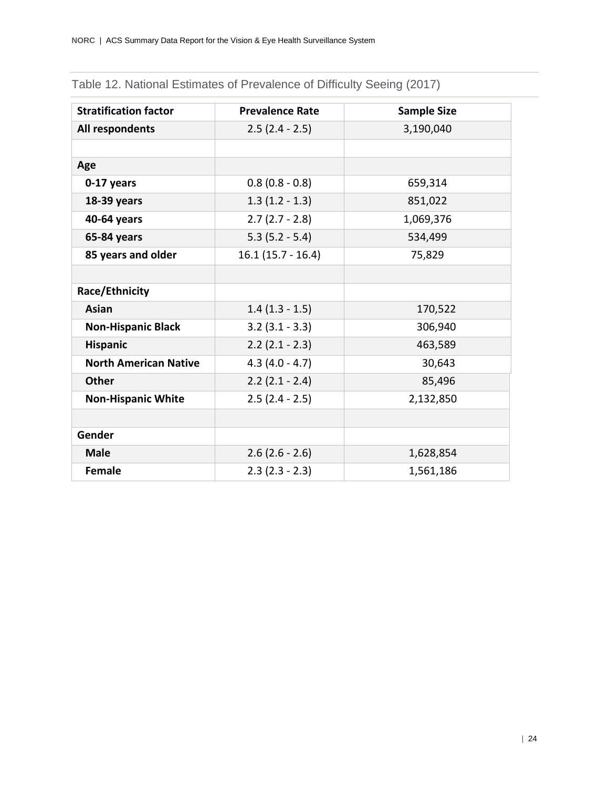| <b>Stratification factor</b> | <b>Prevalence Rate</b> | <b>Sample Size</b> |
|------------------------------|------------------------|--------------------|
| All respondents              | $2.5(2.4 - 2.5)$       | 3,190,040          |
|                              |                        |                    |
| Age                          |                        |                    |
| 0-17 years                   | $0.8(0.8 - 0.8)$       | 659,314            |
| 18-39 years                  | $1.3(1.2 - 1.3)$       | 851,022            |
| 40-64 years                  | $2.7(2.7 - 2.8)$       | 1,069,376          |
| 65-84 years                  | $5.3(5.2 - 5.4)$       | 534,499            |
| 85 years and older           | $16.1(15.7 - 16.4)$    | 75,829             |
|                              |                        |                    |
| Race/Ethnicity               |                        |                    |
| <b>Asian</b>                 | $1.4(1.3 - 1.5)$       | 170,522            |
| <b>Non-Hispanic Black</b>    | $3.2$ ( $3.1 - 3.3$ )  | 306,940            |
| <b>Hispanic</b>              | $2.2$ (2.1 - 2.3)      | 463,589            |
| <b>North American Native</b> | $4.3(4.0 - 4.7)$       | 30,643             |
| <b>Other</b>                 | $2.2$ (2.1 - 2.4)      | 85,496             |
| <b>Non-Hispanic White</b>    | $2.5(2.4 - 2.5)$       | 2,132,850          |
|                              |                        |                    |
| Gender                       |                        |                    |
| <b>Male</b>                  | $2.6$ (2.6 - 2.6)      | 1,628,854          |
| <b>Female</b>                | $2.3$ (2.3 - 2.3)      | 1,561,186          |

### Table 12. National Estimates of Prevalence of Difficulty Seeing (2017)